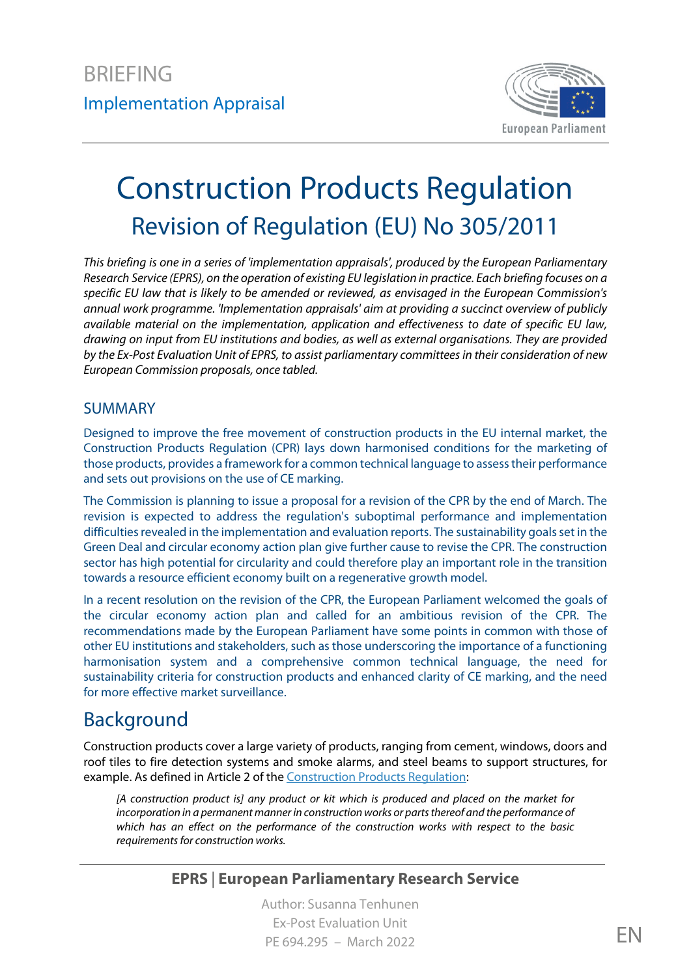

# Construction Products Regulation Revision of Regulation (EU) No 305/2011

*This briefing is one in a series of 'implementation appraisals', produced by the European Parliamentary Research Service (EPRS), on the operation of existing EU legislation in practice. Each briefing focuses on a specific EU law that is likely to be amended or reviewed, as envisaged in the European Commission's annual work programme. 'Implementation appraisals' aim at providing a succinct overview of publicly available material on the implementation, application and effectiveness to date of specific EU law, drawing on input from EU institutions and bodies, as well as external organisations. They are provided by the Ex-Post Evaluation Unit of EPRS, to assist parliamentary committees in their consideration of new European Commission proposals, once tabled.*

#### SUMMARY

Designed to improve the free movement of construction products in the EU internal market, the Construction Products Regulation (CPR) lays down harmonised conditions for the marketing of those products, provides a framework for a common technical language to assess their performance and sets out provisions on the use of CE marking.

The Commission is planning to issue a proposal for a revision of the CPR by the end of March. The revision is expected to address the regulation's suboptimal performance and implementation difficulties revealed in the implementation and evaluation reports. The sustainability goals set in the Green Deal and circular economy action plan give further cause to revise the CPR. The construction sector has high potential for circularity and could therefore play an important role in the transition towards a resource efficient economy built on a regenerative growth model.

In a recent resolution on the revision of the CPR, the European Parliament welcomed the goals of the circular economy action plan and called for an ambitious revision of the CPR. The recommendations made by the European Parliament have some points in common with those of other EU institutions and stakeholders, such as those underscoring the importance of a functioning harmonisation system and a comprehensive common technical language, the need for sustainability criteria for construction products and enhanced clarity of CE marking, and the need for more effective market surveillance.

# Background

Construction products cover a large variety of products, ranging from cement, windows, doors and roof tiles to fire detection systems and smoke alarms, and steel beams to support structures, for example. As defined in Article 2 of the [Construction Products Regulation:](https://eur-lex.europa.eu/legal-content/EN/TXT/?uri=CELEX:32011R0305)

*[A construction product is] any product or kit which is produced and placed on the market for incorporation in a permanent manner in construction works or parts thereof and the performance of which has an effect on the performance of the construction works with respect to the basic requirements for construction works.*

#### **EPRS** | **European Parliamentary Research Service**

Author: Susanna Tenhunen Ex-Post Evaluation Unit  $P$ F 694.295 – March 2022 ENGLANDS EN ENGLAND EN ENGLAND EN ENGLAND EN ENGLAND EN ENGLAND EN ENGLAND EN ENGLAND EN ENGLAND EN ENGLAND EN ENGLAND EN ENGLAND EN ENGLAND EN ENGLAND EN ENGLAND EN ENGLAND EN ENGLAND EN ENGLAND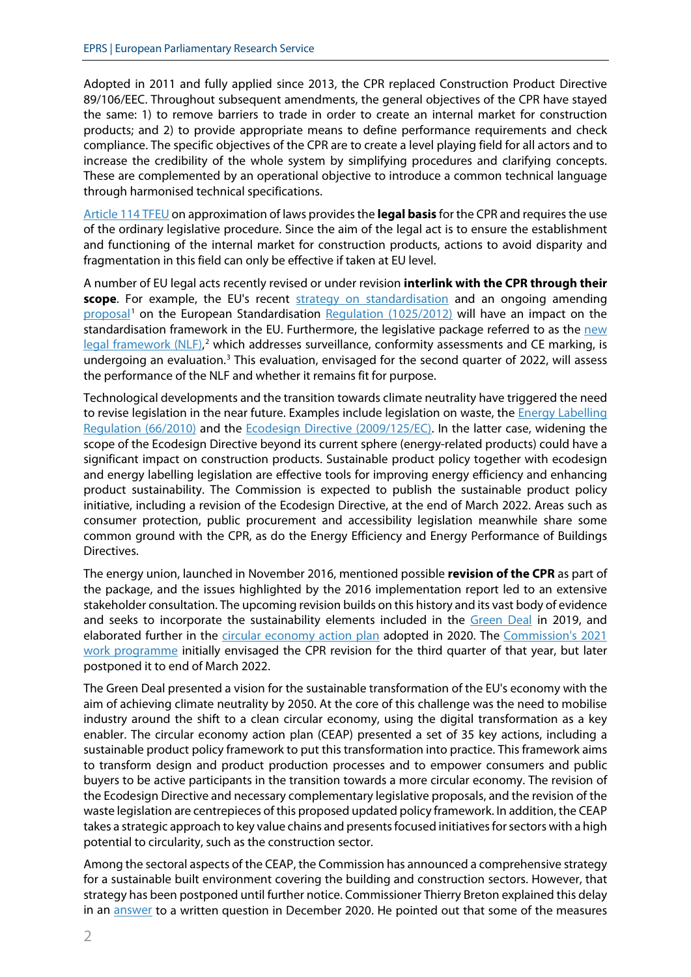Adopted in 2011 and fully applied since 2013, the CPR replaced Construction Product Directive 89/106/EEC. Throughout subsequent amendments, the general objectives of the CPR have stayed the same: 1) to remove barriers to trade in order to create an internal market for construction products; and 2) to provide appropriate means to define performance requirements and check compliance. The specific objectives of the CPR are to create a level playing field for all actors and to increase the credibility of the whole system by simplifying procedures and clarifying concepts. These are complemented by an operational objective to introduce a common technical language through harmonised technical specifications.

[Article 114 TFEU](https://eur-lex.europa.eu/legal-content/EN/ALL/?uri=CELEX:12008E114) on approximation of laws providesthe **legal basis** for the CPR and requires the use of the ordinary legislative procedure. Since the aim of the legal act is to ensure the establishment and functioning of the internal market for construction products, actions to avoid disparity and fragmentation in this field can only be effective if taken at EU level.

A number of EU legal acts recently revised or under revision **interlink with the CPR through their scope**. For example, the EU's recent [strategy on standardisation](https://eur-lex.europa.eu/legal-content/EN/TXT/?uri=CELEX:52022DC0031) and an ongoing amending [proposal](https://eur-lex.europa.eu/legal-content/EN/HIS/?uri=CELEX:52021PC0346)<sup>[1](#page-11-0)</sup> on the European Standardisation [Regulation \(1025/2012\)](https://eur-lex.europa.eu/legal-content/EN/TXT/?uri=CELEX:32012R1025) will have an impact on the standardisation framework in the EU. Furthermore, the legislative package referred to as the new [legal framework](https://ec.europa.eu/growth/single-market/goods/new-legislative-framework_en) (NLF),<sup>[2](#page-11-1)</sup> which addresses surveillance, conformity assessments and CE marking, is undergoing an evaluation. $3$  This evaluation, envisaged for the second quarter of 2022, will assess the performance of the NLF and whether it remains fit for purpose.

Technological developments and the transition towards climate neutrality have triggered the need to revise legislation in the near future. Examples include legislation on waste, the [Energy Labelling](https://eur-lex.europa.eu/legal-content/EN/TXT/?uri=CELEX:32010R0066)  [Regulation \(66/2010\)](https://eur-lex.europa.eu/legal-content/EN/TXT/?uri=CELEX:32010R0066) and the [Ecodesign Directive \(2009/125/EC\)](https://eur-lex.europa.eu/legal-content/EN/TXT/?uri=CELEX:32009L0125). In the latter case, widening the scope of the Ecodesign Directive beyond its current sphere (energy-related products) could have a significant impact on construction products. Sustainable product policy together with ecodesign and energy labelling legislation are effective tools for improving energy efficiency and enhancing product sustainability. The Commission is expected to publish the sustainable product policy initiative, including a revision of the Ecodesign Directive, at the end of March 2022. Areas such as consumer protection, public procurement and accessibility legislation meanwhile share some common ground with the CPR, as do the Energy Efficiency and Energy Performance of Buildings Directives.

The energy union, launched in November 2016, mentioned possible **revision of the CPR** as part of the package, and the issues highlighted by the 2016 implementation report led to an extensive stakeholder consultation. The upcoming revision builds on this history and its vast body of evidence and seeks to incorporate the sustainability elements included in the [Green Deal](https://eur-lex.europa.eu/legal-content/EN/TXT/?qid=1576150542719&uri=COM%3A2019%3A640%3AFIN) in 2019, and elaborated further in the [circular economy action plan](https://eur-lex.europa.eu/legal-content/EN/TXT/?qid=1576150542719&uri=COM%3A2019%3A640%3AFIN) adopted in 2020. The Commission's 2021 [work programme](https://eur-lex.europa.eu/resource.html?uri=cellar%3A91ce5c0f-12b6-11eb-9a54-01aa75ed71a1.0001.02/DOC_2&format=PDF) initially envisaged the CPR revision for the third quarter of that year, but later postponed it to end of March 2022.

The Green Deal presented a vision for the sustainable transformation of the EU's economy with the aim of achieving climate neutrality by 2050. At the core of this challenge was the need to mobilise industry around the shift to a clean circular economy, using the digital transformation as a key enabler. The circular economy action plan (CEAP) presented a set of 35 key actions, including a sustainable product policy framework to put this transformation into practice. This framework aims to transform design and product production processes and to empower consumers and public buyers to be active participants in the transition towards a more circular economy. The revision of the Ecodesign Directive and necessary complementary legislative proposals, and the revision of the waste legislation are centrepieces of this proposed updated policy framework. In addition, the CEAP takes a strategic approach to key value chains and presents focused initiatives for sectors with a high potential to circularity, such as the construction sector.

Among the sectoral aspects of the CEAP, the Commission has announced a comprehensive strategy for a sustainable built environment covering the building and construction sectors. However, that strategy has been postponed until further notice. Commissioner Thierry Breton explained this delay in an [answer](https://www.europarl.europa.eu/doceo/document/E-9-2020-003497-ASW_EN.html) to a written question in December 2020. He pointed out that some of the measures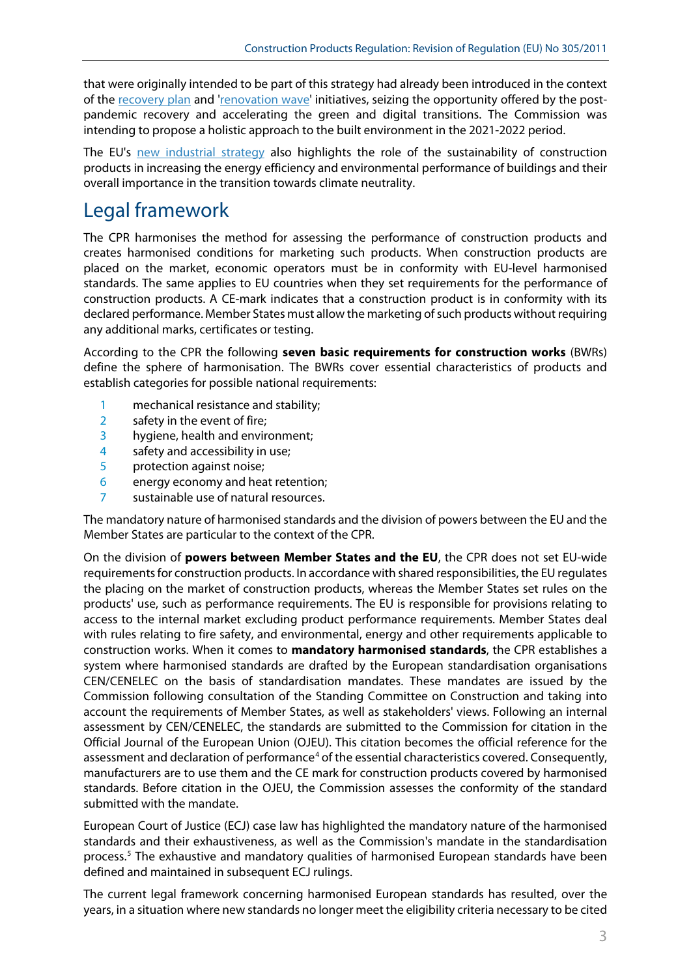that were originally intended to be part of this strategy had already been introduced in the context of the [recovery plan](https://ec.europa.eu/info/strategy/recovery-plan-europe_en) and ['renovation wave'](https://eur-lex.europa.eu/legal-content/EN/TXT/?uri=CELEX:52020DC0662) initiatives, seizing the opportunity offered by the postpandemic recovery and accelerating the green and digital transitions. The Commission was intending to propose a holistic approach to the built environment in the 2021-2022 period.

The EU's [new industrial strategy](https://eur-lex.europa.eu/legal-content/EN/TXT/?uri=CELEX:52020DC0102) also highlights the role of the sustainability of construction products in increasing the energy efficiency and environmental performance of buildings and their overall importance in the transition towards climate neutrality.

### Legal framework

The CPR harmonises the method for assessing the performance of construction products and creates harmonised conditions for marketing such products. When construction products are placed on the market, economic operators must be in conformity with EU-level harmonised standards. The same applies to EU countries when they set requirements for the performance of construction products. A CE-mark indicates that a construction product is in conformity with its declared performance. Member States must allow the marketing of such products without requiring any additional marks, certificates or testing.

According to the CPR the following **seven basic requirements for construction works** (BWRs) define the sphere of harmonisation. The BWRs cover essential characteristics of products and establish categories for possible national requirements:

- 1 mechanical resistance and stability;
- 2 safety in the event of fire;
- 3 hygiene, health and environment;
- 4 safety and accessibility in use;
- 5 protection against noise;
- 6 energy economy and heat retention;
- 7 sustainable use of natural resources.

The mandatory nature of harmonised standards and the division of powers between the EU and the Member States are particular to the context of the CPR.

On the division of **powers between Member States and the EU**, the CPR does not set EU-wide requirements for construction products. In accordance with shared responsibilities, the EU regulates the placing on the market of construction products, whereas the Member States set rules on the products' use, such as performance requirements. The EU is responsible for provisions relating to access to the internal market excluding product performance requirements. Member States deal with rules relating to fire safety, and environmental, energy and other requirements applicable to construction works. When it comes to **mandatory harmonised standards**, the CPR establishes a system where harmonised standards are drafted by the European standardisation organisations CEN/CENELEC on the basis of standardisation mandates. These mandates are issued by the Commission following consultation of the Standing Committee on Construction and taking into account the requirements of Member States, as well as stakeholders' views. Following an internal assessment by CEN/CENELEC, the standards are submitted to the Commission for citation in the Official Journal of the European Union (OJEU). This citation becomes the official reference for the assessment and declaration of performance<sup>[4](#page-11-3)</sup> of the essential characteristics covered. Consequently, manufacturers are to use them and the CE mark for construction products covered by harmonised standards. Before citation in the OJEU, the Commission assesses the conformity of the standard submitted with the mandate.

European Court of Justice (ECJ) case law has highlighted the mandatory nature of the harmonised standards and their exhaustiveness, as well as the Commission's mandate in the standardisation process.[5](#page-11-4) The exhaustive and mandatory qualities of harmonised European standards have been defined and maintained in subsequent ECJ rulings.

The current legal framework concerning harmonised European standards has resulted, over the years, in a situation where new standards no longer meet the eligibility criteria necessary to be cited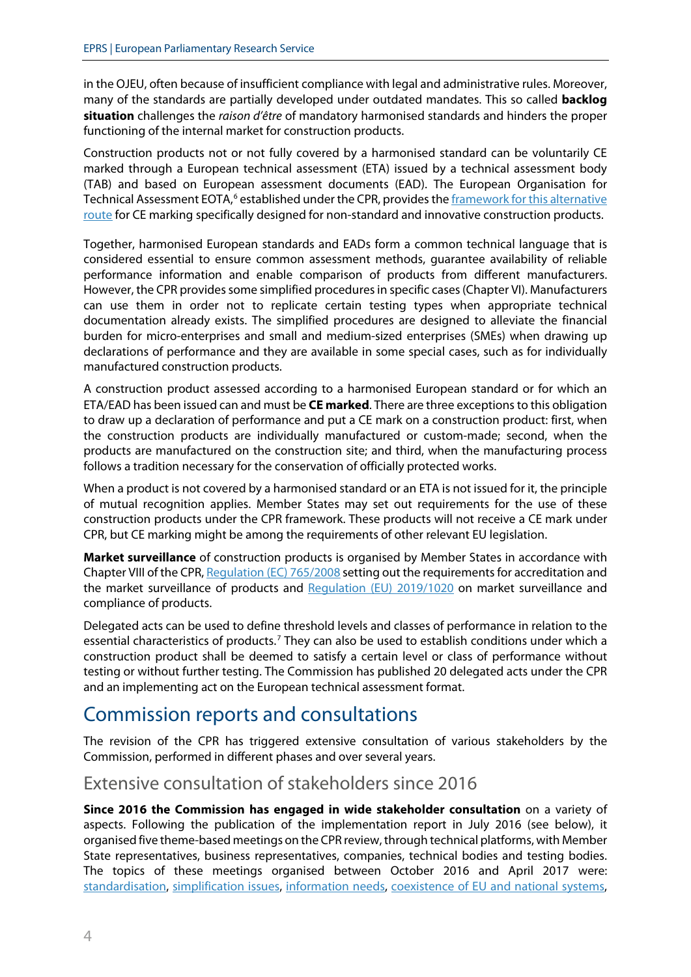in the OJEU, often because of insufficient compliance with legal and administrative rules. Moreover, many of the standards are partially developed under outdated mandates. This so called **backlog situation** challenges the *raison d'être* of mandatory harmonised standards and hinders the proper functioning of the internal market for construction products.

Construction products not or not fully covered by a harmonised standard can be voluntarily CE marked through a European technical assessment (ETA) issued by a technical assessment body (TAB) and based on European assessment documents (EAD). The European Organisation for Technical Assessment EOTA,<sup>[6](#page-11-5)</sup> established under the CPR, provides the framework for this alternative [route](https://www.eota.eu/) for CE marking specifically designed for non-standard and innovative construction products.

Together, harmonised European standards and EADs form a common technical language that is considered essential to ensure common assessment methods, guarantee availability of reliable performance information and enable comparison of products from different manufacturers. However, the CPR provides some simplified procedures in specific cases(Chapter VI). Manufacturers can use them in order not to replicate certain testing types when appropriate technical documentation already exists. The simplified procedures are designed to alleviate the financial burden for micro-enterprises and small and medium-sized enterprises (SMEs) when drawing up declarations of performance and they are available in some special cases, such as for individually manufactured construction products.

A construction product assessed according to a harmonised European standard or for which an ETA/EAD has been issued can and must be **CE marked**. There are three exceptions to this obligation to draw up a declaration of performance and put a CE mark on a construction product: first, when the construction products are individually manufactured or custom-made; second, when the products are manufactured on the construction site; and third, when the manufacturing process follows a tradition necessary for the conservation of officially protected works.

When a product is not covered by a harmonised standard or an ETA is not issued for it, the principle of mutual recognition applies. Member States may set out requirements for the use of these construction products under the CPR framework. These products will not receive a CE mark under CPR, but CE marking might be among the requirements of other relevant EU legislation.

**Market surveillance** of construction products is organised by Member States in accordance with Chapter VIII of the CPR, [Regulation \(EC\) 765/2008](https://eur-lex.europa.eu/legal-content/EN/TXT/?uri=CELEX:32008R0765) setting out the requirements for accreditation and the market surveillance of products and [Regulation \(EU\) 2019/1020](https://eur-lex.europa.eu/legal-content/EN/TXT/?uri=CELEX:32019R1020) on market surveillance and compliance of products.

Delegated acts can be used to define threshold levels and classes of performance in relation to the essential characteristics of products.<sup>[7](#page-11-6)</sup> They can also be used to establish conditions under which a construction product shall be deemed to satisfy a certain level or class of performance without testing or without further testing. The Commission has published 20 delegated acts under the CPR and an implementing act on the European technical assessment format.

# Commission reports and consultations

The revision of the CPR has triggered extensive consultation of various stakeholders by the Commission, performed in different phases and over several years.

#### Extensive consultation of stakeholders since 2016

**Since 2016 the Commission has engaged in wide stakeholder consultation** on a variety of aspects. Following the publication of the implementation report in July 2016 (see below), it organised five theme-based meetings on the CPR review,through technical platforms, with Member State representatives, business representatives, companies, technical bodies and testing bodies. The topics of these meetings organised between October 2016 and April 2017 were: [standardisation,](https://ec.europa.eu/docsroom/documents/26204/attachments/1/translations/) [simplification issues,](https://ec.europa.eu/docsroom/documents/26204/attachments/2/translations/) [information needs,](https://ec.europa.eu/docsroom/documents/26204/attachments/3/translations/) [coexistence of EU and national systems,](https://ec.europa.eu/docsroom/documents/26204/attachments/4/translations/)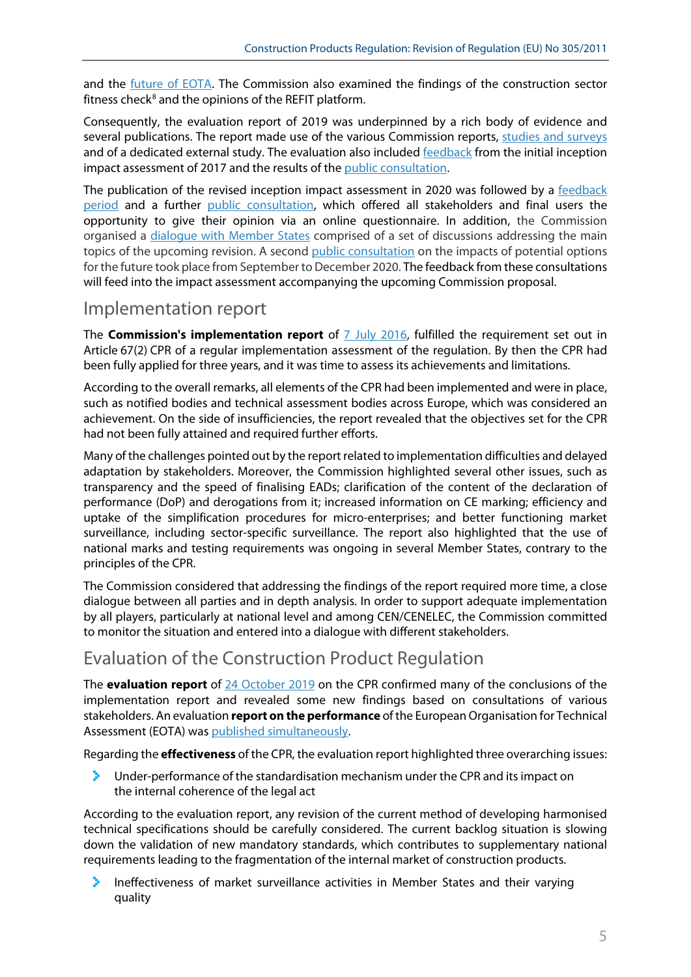and the [future of EOTA.](https://ec.europa.eu/docsroom/documents/26204/attachments/5/translations/) The Commission also examined the findings of the construction sector fitness check $8$  and the opinions of the REFIT platform.

Consequently, the evaluation report of 2019 was underpinned by a rich body of evidence and several publications. The report made use of the various Commission reports, [studies and surveys](https://ec.europa.eu/growth/sectors/construction/support-tools-studies_en) and of a dedicated external study. The evaluation also include[d feedback](https://ec.europa.eu/docsroom/documents/31222) from the initial inception impact assessment of 2017 and the results of the [public consultation.](https://ec.europa.eu/info/consultations/public-consultation-eu-rules-products-used-construction-buildings-and-infrastructure-works_en)

The publication of the revised inception impact assessment in 2020 was followed by a [feedback](https://ec.europa.eu/info/law/better-regulation/have-your-say/initiatives/12458-Construction-products-review-of-EU-rules_en)  [period](https://ec.europa.eu/info/law/better-regulation/have-your-say/initiatives/12458-Construction-products-review-of-EU-rules_en) and a further [public consultation,](https://ec.europa.eu/info/law/better-regulation/have-your-say/initiatives/12458-Construction-products-review-of-EU-rules_en) which offered all stakeholders and final users the opportunity to give their opinion via an online questionnaire. In addition, the Commission organised a [dialogue with Member States](https://ec.europa.eu/growth/sectors/construction/product-regulation/review_en) comprised of a set of discussions addressing the main topics of the upcoming revision. A second [public consultation](https://ec.europa.eu/info/law/better-regulation/have-your-say/initiatives/12458-Review-of-the-Construction-Products-Regulation/public-consultation_en) on the impacts of potential options for the future took place from September to December 2020. The feedback from these consultations will feed into the impact assessment accompanying the upcoming Commission proposal.

### Implementation report

The **Commission's implementation report** of **7** July 2016, fulfilled the requirement set out in Article 67(2) CPR of a regular implementation assessment of the regulation. By then the CPR had been fully applied for three years, and it was time to assess its achievements and limitations.

According to the overall remarks, all elements of the CPR had been implemented and were in place, such as notified bodies and technical assessment bodies across Europe, which was considered an achievement. On the side of insufficiencies, the report revealed that the objectives set for the CPR had not been fully attained and required further efforts.

Many of the challenges pointed out by the report related to implementation difficulties and delayed adaptation by stakeholders. Moreover, the Commission highlighted several other issues, such as transparency and the speed of finalising EADs; clarification of the content of the declaration of performance (DoP) and derogations from it; increased information on CE marking; efficiency and uptake of the simplification procedures for micro-enterprises; and better functioning market surveillance, including sector-specific surveillance. The report also highlighted that the use of national marks and testing requirements was ongoing in several Member States, contrary to the principles of the CPR.

The Commission considered that addressing the findings of the report required more time, a close dialogue between all parties and in depth analysis. In order to support adequate implementation by all players, particularly at national level and among CEN/CENELEC, the Commission committed to monitor the situation and entered into a dialogue with different stakeholders.

### Evaluation of the Construction Product Regulation

The **evaluation report** of [24 October 2019](https://ec.europa.eu/docsroom/documents/37827) on the CPR confirmed many of the conclusions of the implementation report and revealed some new findings based on consultations of various stakeholders. An evaluation **report on the performance** of the European Organisation for Technical Assessment (EOTA) was [published simultaneously.](https://ec.europa.eu/docsroom/documents/37826)

Regarding the **effectiveness** of the CPR, the evaluation report highlighted three overarching issues:

×. Under-performance of the standardisation mechanism under the CPR and its impact on the internal coherence of the legal act

According to the evaluation report, any revision of the current method of developing harmonised technical specifications should be carefully considered. The current backlog situation is slowing down the validation of new mandatory standards, which contributes to supplementary national requirements leading to the fragmentation of the internal market of construction products.

× Ineffectiveness of market surveillance activities in Member States and their varying quality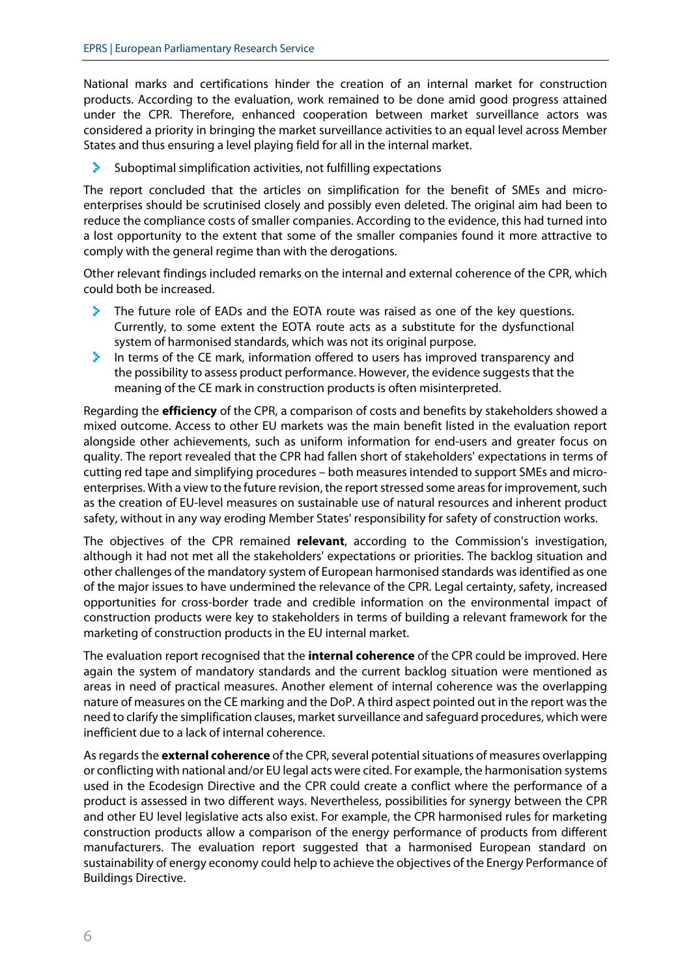National marks and certifications hinder the creation of an internal market for construction products. According to the evaluation, work remained to be done amid good progress attained under the CPR. Therefore, enhanced cooperation between market surveillance actors was considered a priority in bringing the market surveillance activities to an equal level across Member States and thus ensuring a level playing field for all in the internal market.

× Suboptimal simplification activities, not fulfilling expectations

The report concluded that the articles on simplification for the benefit of SMEs and microenterprises should be scrutinised closely and possibly even deleted. The original aim had been to reduce the compliance costs of smaller companies. According to the evidence, this had turned into a lost opportunity to the extent that some of the smaller companies found it more attractive to comply with the general regime than with the derogations.

Other relevant findings included remarks on the internal and external coherence of the CPR, which could both be increased.

- У The future role of EADs and the EOTA route was raised as one of the key questions. Currently, to some extent the EOTA route acts as a substitute for the dysfunctional system of harmonised standards, which was not its original purpose.
- ×. In terms of the CE mark, information offered to users has improved transparency and the possibility to assess product performance. However, the evidence suggests that the meaning of the CE mark in construction products is often misinterpreted.

Regarding the **efficiency** of the CPR, a comparison of costs and benefits by stakeholders showed a mixed outcome. Access to other EU markets was the main benefit listed in the evaluation report alongside other achievements, such as uniform information for end-users and greater focus on quality. The report revealed that the CPR had fallen short of stakeholders' expectations in terms of cutting red tape and simplifying procedures – both measures intended to support SMEs and microenterprises. With a view to the future revision, the report stressed some areas for improvement, such as the creation of EU-level measures on sustainable use of natural resources and inherent product safety, without in any way eroding Member States' responsibility for safety of construction works.

The objectives of the CPR remained **relevant**, according to the Commission's investigation, although it had not met all the stakeholders' expectations or priorities. The backlog situation and other challenges of the mandatory system of European harmonised standards was identified as one of the major issues to have undermined the relevance of the CPR. Legal certainty, safety, increased opportunities for cross-border trade and credible information on the environmental impact of construction products were key to stakeholders in terms of building a relevant framework for the marketing of construction products in the EU internal market.

The evaluation report recognised that the **internal coherence** of the CPR could be improved. Here again the system of mandatory standards and the current backlog situation were mentioned as areas in need of practical measures. Another element of internal coherence was the overlapping nature of measures on the CE marking and the DoP. A third aspect pointed out in the report was the need to clarify the simplification clauses, market surveillance and safeguard procedures, which were inefficient due to a lack of internal coherence.

As regards the **external coherence** of the CPR, several potential situations of measures overlapping or conflicting with national and/or EU legal acts were cited. For example, the harmonisation systems used in the Ecodesign Directive and the CPR could create a conflict where the performance of a product is assessed in two different ways. Nevertheless, possibilities for synergy between the CPR and other EU level legislative acts also exist. For example, the CPR harmonised rules for marketing construction products allow a comparison of the energy performance of products from different manufacturers. The evaluation report suggested that a harmonised European standard on sustainability of energy economy could help to achieve the objectives of the Energy Performance of Buildings Directive.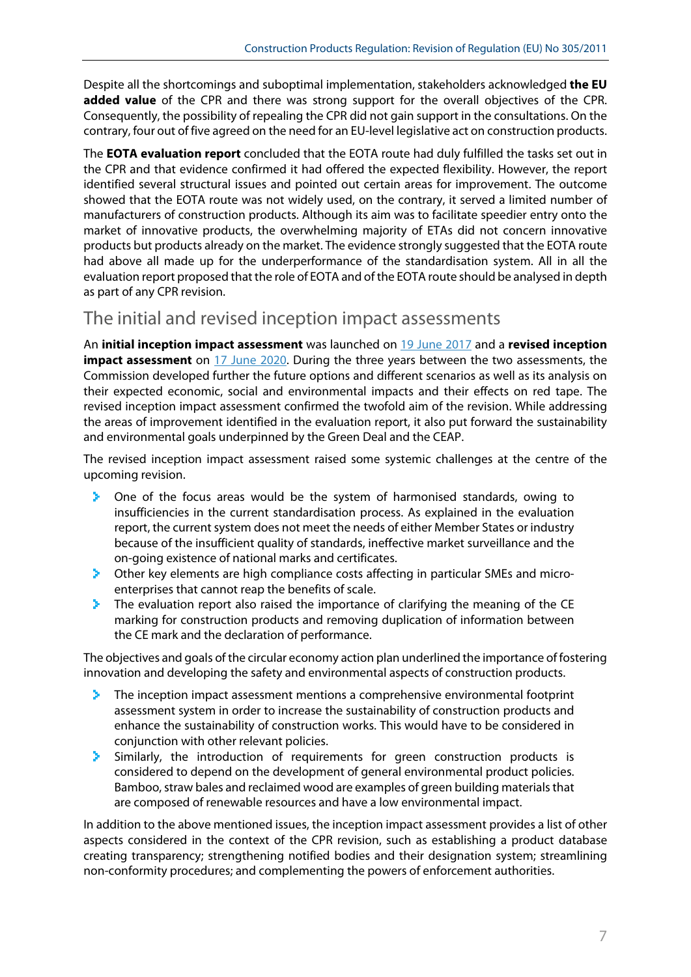Despite all the shortcomings and suboptimal implementation, stakeholders acknowledged **the EU added value** of the CPR and there was strong support for the overall objectives of the CPR. Consequently, the possibility of repealing the CPR did not gain support in the consultations. On the contrary, four out of five agreed on the need for an EU-level legislative act on construction products.

The **EOTA evaluation report** concluded that the EOTA route had duly fulfilled the tasks set out in the CPR and that evidence confirmed it had offered the expected flexibility. However, the report identified several structural issues and pointed out certain areas for improvement. The outcome showed that the EOTA route was not widely used, on the contrary, it served a limited number of manufacturers of construction products. Although its aim was to facilitate speedier entry onto the market of innovative products, the overwhelming majority of ETAs did not concern innovative products but products already on the market. The evidence strongly suggested that the EOTA route had above all made up for the underperformance of the standardisation system. All in all the evaluation report proposed that the role of EOTA and of the EOTA route should be analysed in depth as part of any CPR revision.

### The initial and revised inception impact assessments

An **initial inception impact assessment** was launched on [19 June 2017](https://ec.europa.eu/docsroom/documents/42001) and a **revised inception impact assessment** on [17 June 2020.](https://ec.europa.eu/docsroom/documents/43301) During the three years between the two assessments, the Commission developed further the future options and different scenarios as well as its analysis on their expected economic, social and environmental impacts and their effects on red tape. The revised inception impact assessment confirmed the twofold aim of the revision. While addressing the areas of improvement identified in the evaluation report, it also put forward the sustainability and environmental goals underpinned by the Green Deal and the CEAP.

The revised inception impact assessment raised some systemic challenges at the centre of the upcoming revision.

- У. One of the focus areas would be the system of harmonised standards, owing to insufficiencies in the current standardisation process. As explained in the evaluation report, the current system does not meet the needs of either Member States or industry because of the insufficient quality of standards, ineffective market surveillance and the on-going existence of national marks and certificates.
- > -Other key elements are high compliance costs affecting in particular SMEs and microenterprises that cannot reap the benefits of scale.
- ×. The evaluation report also raised the importance of clarifying the meaning of the CE marking for construction products and removing duplication of information between the CE mark and the declaration of performance.

The objectives and goals of the circular economy action plan underlined the importance of fostering innovation and developing the safety and environmental aspects of construction products.

- У. The inception impact assessment mentions a comprehensive environmental footprint assessment system in order to increase the sustainability of construction products and enhance the sustainability of construction works. This would have to be considered in conjunction with other relevant policies.
- Similarly, the introduction of requirements for green construction products is У. considered to depend on the development of general environmental product policies. Bamboo, straw bales and reclaimed wood are examples of green building materials that are composed of renewable resources and have a low environmental impact.

In addition to the above mentioned issues, the inception impact assessment provides a list of other aspects considered in the context of the CPR revision, such as establishing a product database creating transparency; strengthening notified bodies and their designation system; streamlining non-conformity procedures; and complementing the powers of enforcement authorities.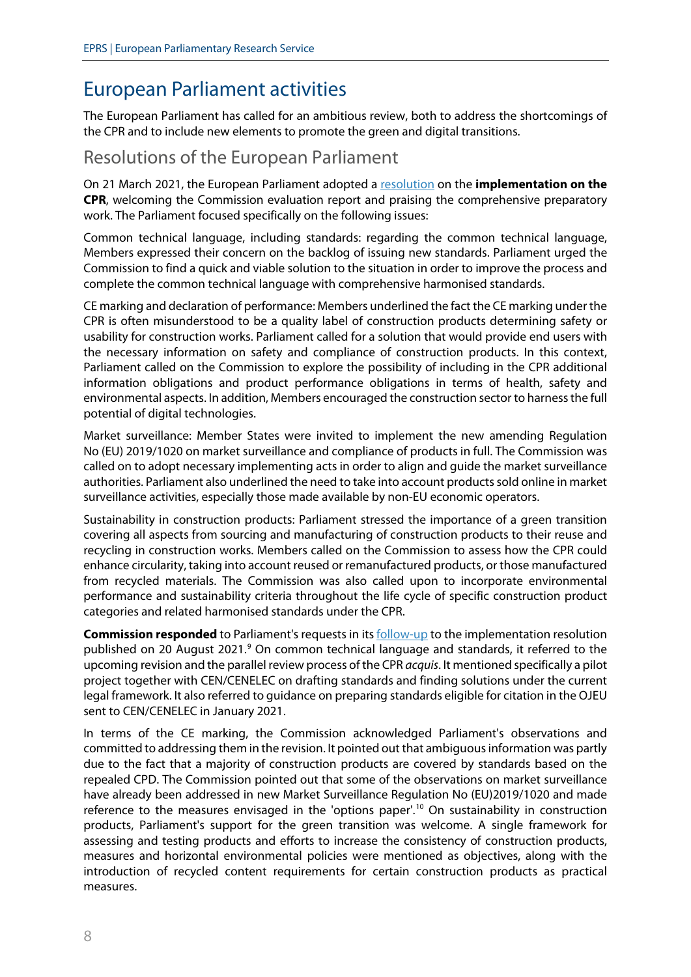### European Parliament activities

The European Parliament has called for an ambitious review, both to address the shortcomings of the CPR and to include new elements to promote the green and digital transitions.

#### Resolutions of the European Parliament

On 21 March 2021, the European Parliament adopted a [resolution](https://www.europarl.europa.eu/doceo/document/TA-9-2021-0074_EN.pdf) on the **implementation on the CPR**, welcoming the Commission evaluation report and praising the comprehensive preparatory work. The Parliament focused specifically on the following issues:

Common technical language, including standards: regarding the common technical language, Members expressed their concern on the backlog of issuing new standards. Parliament urged the Commission to find a quick and viable solution to the situation in order to improve the process and complete the common technical language with comprehensive harmonised standards.

CE marking and declaration of performance: Members underlined the fact the CE marking under the CPR is often misunderstood to be a quality label of construction products determining safety or usability for construction works. Parliament called for a solution that would provide end users with the necessary information on safety and compliance of construction products. In this context, Parliament called on the Commission to explore the possibility of including in the CPR additional information obligations and product performance obligations in terms of health, safety and environmental aspects. In addition, Members encouraged the construction sector to harness the full potential of digital technologies.

Market surveillance: Member States were invited to implement the new amending Regulation No (EU) 2019/1020 on market surveillance and compliance of products in full. The Commission was called on to adopt necessary implementing acts in order to align and guide the market surveillance authorities. Parliament also underlined the need to take into account products sold online in market surveillance activities, especially those made available by non-EU economic operators.

Sustainability in construction products: Parliament stressed the importance of a green transition covering all aspects from sourcing and manufacturing of construction products to their reuse and recycling in construction works. Members called on the Commission to assess how the CPR could enhance circularity, taking into account reused or remanufactured products, or those manufactured from recycled materials. The Commission was also called upon to incorporate environmental performance and sustainability criteria throughout the life cycle of specific construction product categories and related harmonised standards under the CPR.

**Commission responded** to Parliament's requests in it[s follow-up](https://oeil.secure.europarl.europa.eu/oeil/popups/ficheprocedure.do?reference=2020/2028(INI)&l=en) to the implementation resolution published on 20 August 2021.<sup>[9](#page-11-8)</sup> On common technical language and standards, it referred to the upcoming revision and the parallel review process of the CPR *acquis*. It mentioned specifically a pilot project together with CEN/CENELEC on drafting standards and finding solutions under the current legal framework. It also referred to guidance on preparing standards eligible for citation in the OJEU sent to CEN/CENELEC in January 2021.

In terms of the CE marking, the Commission acknowledged Parliament's observations and committed to addressing them in the revision. It pointed out that ambiguous information was partly due to the fact that a majority of construction products are covered by standards based on the repealed CPD. The Commission pointed out that some of the observations on market surveillance have already been addressed in new Market Surveillance Regulation No (EU)2019/1020 and made reference to the measures envisaged in the 'options paper'.<sup>[10](#page-11-9)</sup> On sustainability in construction products, Parliament's support for the green transition was welcome. A single framework for assessing and testing products and efforts to increase the consistency of construction products, measures and horizontal environmental policies were mentioned as objectives, along with the introduction of recycled content requirements for certain construction products as practical measures.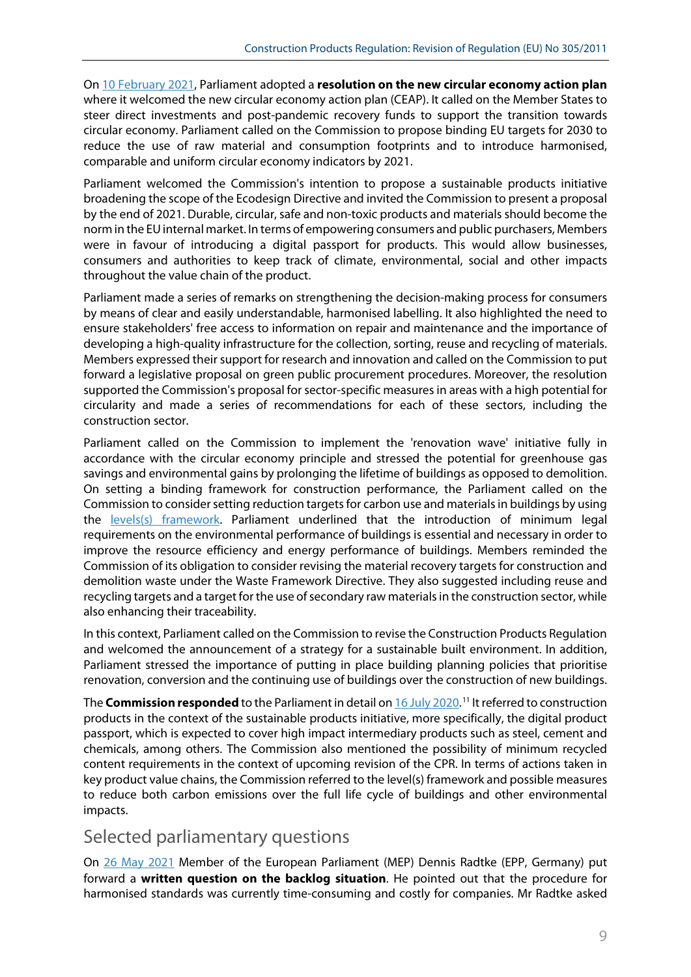On [10 February 2021,](https://www.europarl.europa.eu/doceo/document/TA-9-2021-0040_EN.pdf) Parliament adopted a **resolution on the new circular economy action plan** where it welcomed the new circular economy action plan (CEAP). It called on the Member States to steer direct investments and post-pandemic recovery funds to support the transition towards circular economy. Parliament called on the Commission to propose binding EU targets for 2030 to reduce the use of raw material and consumption footprints and to introduce harmonised, comparable and uniform circular economy indicators by 2021.

Parliament welcomed the Commission's intention to propose a sustainable products initiative broadening the scope of the Ecodesign Directive and invited the Commission to present a proposal by the end of 2021. Durable, circular, safe and non-toxic products and materials should become the norm in the EU internal market. In terms of empowering consumers and public purchasers, Members were in favour of introducing a digital passport for products. This would allow businesses, consumers and authorities to keep track of climate, environmental, social and other impacts throughout the value chain of the product.

Parliament made a series of remarks on strengthening the decision-making process for consumers by means of clear and easily understandable, harmonised labelling. It also highlighted the need to ensure stakeholders' free access to information on repair and maintenance and the importance of developing a high-quality infrastructure for the collection, sorting, reuse and recycling of materials. Members expressed their support for research and innovation and called on the Commission to put forward a legislative proposal on green public procurement procedures. Moreover, the resolution supported the Commission's proposal for sector-specific measures in areas with a high potential for circularity and made a series of recommendations for each of these sectors, including the construction sector.

Parliament called on the Commission to implement the 'renovation wave' initiative fully in accordance with the circular economy principle and stressed the potential for greenhouse gas savings and environmental gains by prolonging the lifetime of buildings as opposed to demolition. On setting a binding framework for construction performance, the Parliament called on the Commission to consider setting reduction targets for carbon use and materials in buildings by using the [levels\(s\) framework.](https://ec.europa.eu/environment/levels_en) Parliament underlined that the introduction of minimum legal requirements on the environmental performance of buildings is essential and necessary in order to improve the resource efficiency and energy performance of buildings. Members reminded the Commission of its obligation to consider revising the material recovery targets for construction and demolition waste under the Waste Framework Directive. They also suggested including reuse and recycling targets and a target for the use of secondary raw materials in the construction sector, while also enhancing their traceability.

In this context, Parliament called on the Commission to revise the Construction Products Regulation and welcomed the announcement of a strategy for a sustainable built environment. In addition, Parliament stressed the importance of putting in place building planning policies that prioritise renovation, conversion and the continuing use of buildings over the construction of new buildings.

The **Commission responded** to the Parliament in detail o[n 16 July 2020.](https://oeil.secure.europarl.europa.eu/oeil/popups/ficheprocedure.do?reference=2020/2077(INI)&l=en)<sup>[11](#page-11-10)</sup> It referred to construction products in the context of the sustainable products initiative, more specifically, the digital product passport, which is expected to cover high impact intermediary products such as steel, cement and chemicals, among others. The Commission also mentioned the possibility of minimum recycled content requirements in the context of upcoming revision of the CPR. In terms of actions taken in key product value chains, the Commission referred to the level(s) framework and possible measures to reduce both carbon emissions over the full life cycle of buildings and other environmental impacts.

#### Selected parliamentary questions

On [26 May 2021](https://www.europarl.europa.eu/doceo/document/E-9-2021-002798_EN.pdf) Member of the European Parliament (MEP) Dennis Radtke (EPP, Germany) put forward a **written question on the backlog situation**. He pointed out that the procedure for harmonised standards was currently time-consuming and costly for companies. Mr Radtke asked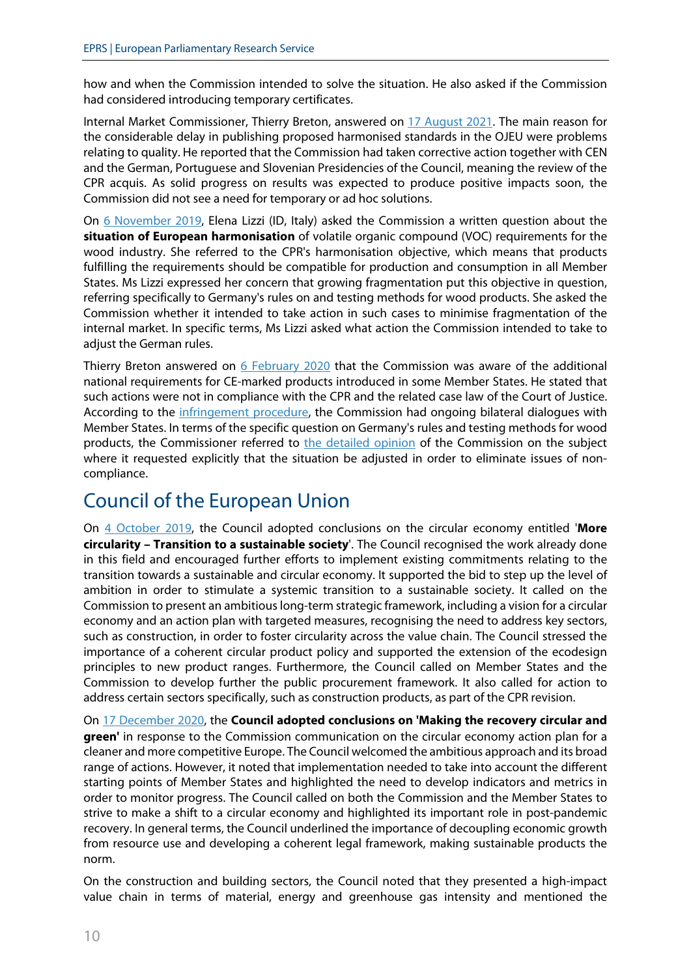how and when the Commission intended to solve the situation. He also asked if the Commission had considered introducing temporary certificates.

Internal Market Commissioner, Thierry Breton, answered on [17 August 2021.](https://www.europarl.europa.eu/doceo/document/E-9-2021-002798-ASW_EN.pdf) The main reason for the considerable delay in publishing proposed harmonised standards in the OJEU were problems relating to quality. He reported that the Commission had taken corrective action together with CEN and the German, Portuguese and Slovenian Presidencies of the Council, meaning the review of the CPR acquis. As solid progress on results was expected to produce positive impacts soon, the Commission did not see a need for temporary or ad hoc solutions.

On [6 November 2019,](https://www.europarl.europa.eu/doceo/document/E-9-2019-003676_EN.pdf) Elena Lizzi (ID, Italy) asked the Commission a written question about the **situation of European harmonisation** of volatile organic compound (VOC) requirements for the wood industry. She referred to the CPR's harmonisation objective, which means that products fulfilling the requirements should be compatible for production and consumption in all Member States. Ms Lizzi expressed her concern that growing fragmentation put this objective in question, referring specifically to Germany's rules on and testing methods for wood products. She asked the Commission whether it intended to take action in such cases to minimise fragmentation of the internal market. In specific terms, Ms Lizzi asked what action the Commission intended to take to adjust the German rules.

Thierry Breton answered on [6 February 2020](https://www.europarl.europa.eu/doceo/document/E-9-2019-003676-ASW_EN.html) that the Commission was aware of the additional national requirements for CE-marked products introduced in some Member States. He stated that such actions were not in compliance with the CPR and the related case law of the Court of Justice. According to the [infringement procedure,](https://ec.europa.eu/info/law/law-making-process/applying-eu-law/infringement-procedure_en) the Commission had ongoing bilateral dialogues with Member States. In terms of the specific question on Germany's rules and testing methods for wood products, the Commissioner referred to [the detailed opinion](https://ec.europa.eu/growth/tools-databases/tris/en/search/?trisaction=search.detail&year=2019&num=306) of the Commission on the subject where it requested explicitly that the situation be adjusted in order to eliminate issues of noncompliance.

# Council of the European Union

On [4 October 2019,](https://www.consilium.europa.eu/media/40928/st12791-en19.pdf) the Council adopted conclusions on the circular economy entitled '**More circularity – Transition to a sustainable society**'. The Council recognised the work already done in this field and encouraged further efforts to implement existing commitments relating to the transition towards a sustainable and circular economy. It supported the bid to step up the level of ambition in order to stimulate a systemic transition to a sustainable society. It called on the Commission to present an ambitious long-term strategic framework, including a vision for a circular economy and an action plan with targeted measures, recognising the need to address key sectors, such as construction, in order to foster circularity across the value chain. The Council stressed the importance of a coherent circular product policy and supported the extension of the ecodesign principles to new product ranges. Furthermore, the Council called on Member States and the Commission to develop further the public procurement framework. It also called for action to address certain sectors specifically, such as construction products, as part of the CPR revision.

On [17 December 2020,](https://data.consilium.europa.eu/doc/document/ST-13852-2020-INIT/en/pdf) the **Council adopted conclusions on 'Making the recovery circular and green'** in response to the Commission communication on the circular economy action plan for a cleaner and more competitive Europe. The Council welcomed the ambitious approach and its broad range of actions. However, it noted that implementation needed to take into account the different starting points of Member States and highlighted the need to develop indicators and metrics in order to monitor progress. The Council called on both the Commission and the Member States to strive to make a shift to a circular economy and highlighted its important role in post-pandemic recovery. In general terms, the Council underlined the importance of decoupling economic growth from resource use and developing a coherent legal framework, making sustainable products the norm.

On the construction and building sectors, the Council noted that they presented a high-impact value chain in terms of material, energy and greenhouse gas intensity and mentioned the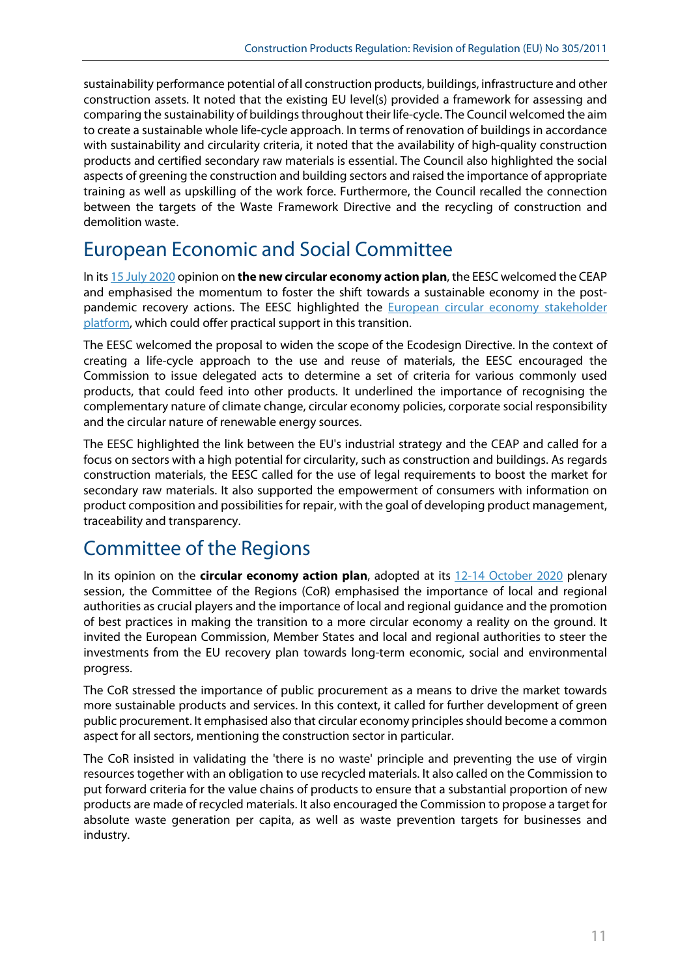sustainability performance potential of all construction products, buildings, infrastructure and other construction assets. It noted that the existing EU level(s) provided a framework for assessing and comparing the sustainability of buildings throughout their life-cycle. The Council welcomed the aim to create a sustainable whole life-cycle approach. In terms of renovation of buildings in accordance with sustainability and circularity criteria, it noted that the availability of high-quality construction products and certified secondary raw materials is essential. The Council also highlighted the social aspects of greening the construction and building sectors and raised the importance of appropriate training as well as upskilling of the work force. Furthermore, the Council recalled the connection between the targets of the Waste Framework Directive and the recycling of construction and demolition waste.

# European Economic and Social Committee

In it[s 15 July 2020](https://www.eesc.europa.eu/en/our-work/opinions-information-reports/opinions/new-circular-economy-action-plan) opinion on **the new circular economy action plan**, the EESC welcomed the CEAP and emphasised the momentum to foster the shift towards a sustainable economy in the postpandemic recovery actions. The EESC highlighted the **European circular economy stakeholder** [platform,](https://circulareconomy.europa.eu/platform/) which could offer practical support in this transition.

The EESC welcomed the proposal to widen the scope of the Ecodesign Directive. In the context of creating a life-cycle approach to the use and reuse of materials, the EESC encouraged the Commission to issue delegated acts to determine a set of criteria for various commonly used products, that could feed into other products. It underlined the importance of recognising the complementary nature of climate change, circular economy policies, corporate social responsibility and the circular nature of renewable energy sources.

The EESC highlighted the link between the EU's industrial strategy and the CEAP and called for a focus on sectors with a high potential for circularity, such as construction and buildings. As regards construction materials, the EESC called for the use of legal requirements to boost the market for secondary raw materials. It also supported the empowerment of consumers with information on product composition and possibilities for repair, with the goal of developing product management, traceability and transparency.

# Committee of the Regions

In its opinion on the **circular economy action plan**, adopted at its [12-14 October 2020](https://webapi2016.cor.europa.eu/v1/documents/cor-2020-01265-00-02-ac-tra-en.docx/content) plenary session, the Committee of the Regions (CoR) emphasised the importance of local and regional authorities as crucial players and the importance of local and regional guidance and the promotion of best practices in making the transition to a more circular economy a reality on the ground. It invited the European Commission, Member States and local and regional authorities to steer the investments from the EU recovery plan towards long-term economic, social and environmental progress.

The CoR stressed the importance of public procurement as a means to drive the market towards more sustainable products and services. In this context, it called for further development of green public procurement. It emphasised also that circular economy principles should become a common aspect for all sectors, mentioning the construction sector in particular.

The CoR insisted in validating the 'there is no waste' principle and preventing the use of virgin resources together with an obligation to use recycled materials. It also called on the Commission to put forward criteria for the value chains of products to ensure that a substantial proportion of new products are made of recycled materials. It also encouraged the Commission to propose a target for absolute waste generation per capita, as well as waste prevention targets for businesses and industry.